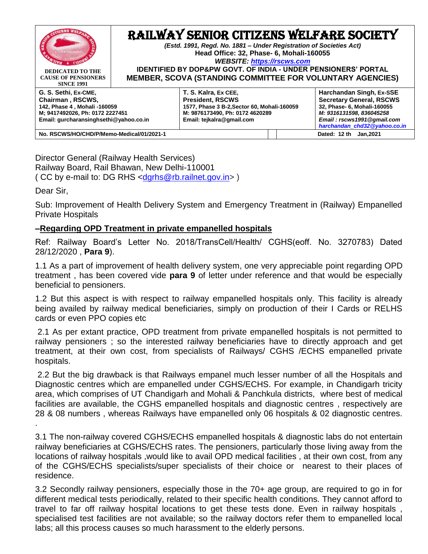

Director General (Railway Health Services) Railway Board, Rail Bhawan, New Delhi-110001 ( CC by e-mail to: DG RHS <[dgrhs@rb.railnet.gov.in>](mailto:dgrhs@rb.railnet.gov.in) )

Dear Sir,

.

Sub: Improvement of Health Delivery System and Emergency Treatment in (Railway) Empanelled Private Hospitals

## **–Regarding OPD Treatment in private empanelled hospitals**

Ref: Railway Board's Letter No. 2018/TransCell/Health/ CGHS(eoff. No. 3270783) Dated 28/12/2020 , **Para 9**).

1.1 As a part of improvement of health delivery system, one very appreciable point regarding OPD treatment , has been covered vide **para 9** of letter under reference and that would be especially beneficial to pensioners.

1.2 But this aspect is with respect to railway empanelled hospitals only. This facility is already being availed by railway medical beneficiaries, simply on production of their I Cards or RELHS cards or even PPO copies etc

2.1 As per extant practice, OPD treatment from private empanelled hospitals is not permitted to railway pensioners ; so the interested railway beneficiaries have to directly approach and get treatment, at their own cost, from specialists of Railways/ CGHS /ECHS empanelled private hospitals.

2.2 But the big drawback is that Railways empanel much lesser number of all the Hospitals and Diagnostic centres which are empanelled under CGHS/ECHS. For example, in Chandigarh tricity area, which comprises of UT Chandigarh and Mohali & Panchkula districts, where best of medical facilities are available, the CGHS empanelled hospitals and diagnostic centres , respectively are 28 & 08 numbers , whereas Railways have empanelled only 06 hospitals & 02 diagnostic centres.

3.1 The non-railway covered CGHS/ECHS empanelled hospitals & diagnostic labs do not entertain railway beneficiaries at CGHS/ECHS rates. The pensioners, particularly those living away from the locations of railway hospitals ,would like to avail OPD medical facilities , at their own cost, from any of the CGHS/ECHS specialists/super specialists of their choice or nearest to their places of residence.

3.2 Secondly railway pensioners, especially those in the 70+ age group, are required to go in for different medical tests periodically, related to their specific health conditions. They cannot afford to travel to far off railway hospital locations to get these tests done. Even in railway hospitals , specialised test facilities are not available; so the railway doctors refer them to empanelled local labs; all this process causes so much harassment to the elderly persons.